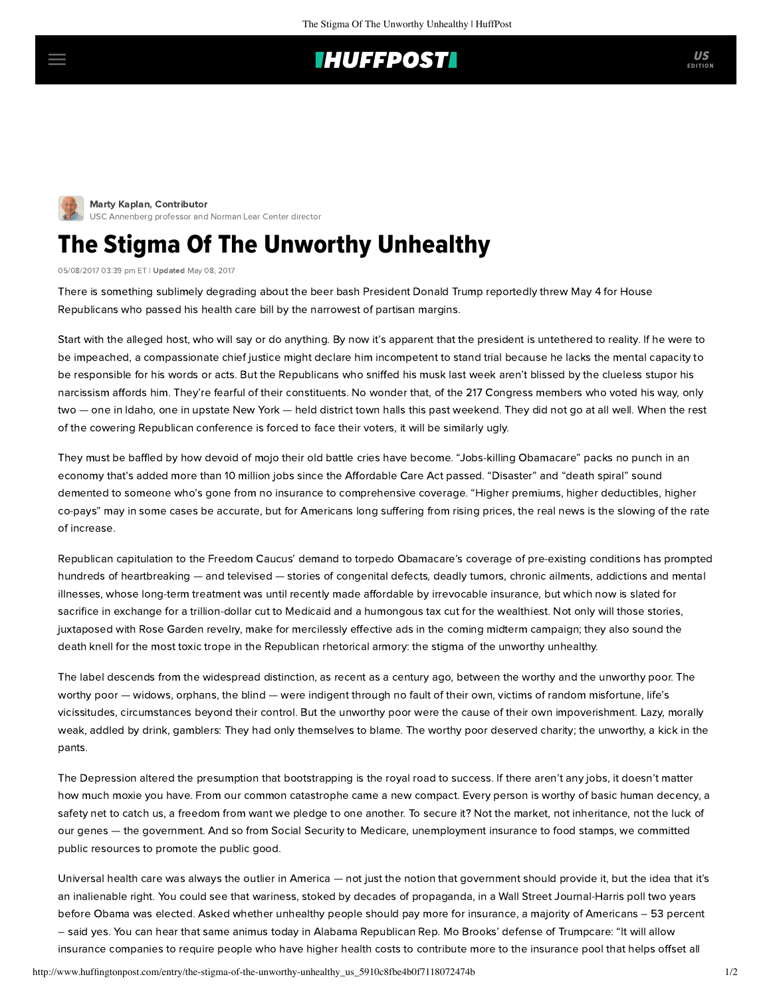## **IHUFFPOSTI**

[M](http://www.huffingtonpost.com/author/marty-kaplan)arty Kaplan, Contributor [USC Annenberg professor and Norman Lear Center director](http://www.huffingtonpost.com/author/marty-kaplan)

## The Stigma Of The Unworthy Unhealthy

05/08/2017 03:39 pm ET | Updated May 08, 2017

There is something sublimely degrading about the beer bash President Donald Trump reportedly threw May 4 for House Republicans who passed his health care bill by the narrowest of partisan margins.

Start with the alleged host, who will say or do anything. By now it's apparent that the president is untethered to reality. If he were to be impeached, a compassionate chief justice might declare him incompetent to stand trial because he lacks the mental capacity to be responsible for his words or acts. But the Republicans who sniffed his musk last week aren't blissed by the clueless stupor his narcissism affords him. They're fearful of their constituents. No wonder that, of the 217 Congress members who voted his way, only two — [one](http://www.cnn.com/2017/05/07/politics/raul-labrador-healthcare-ahca/) in Idaho, [one](http://abcnews.go.com/Politics/house-republicans-face-voters-home-districts-angry-health/story?id=47247115) in upstate New York — held district town halls this past weekend. They did not go at all well. When the rest of the cowering Republican conference is forced to face their voters, it will be similarly ugly.

They must be baffled by how devoid of mojo their old battle cries have become. "Jobs-killing Obamacare" packs no punch in an economy that's added more than 10 million jobs since the Affordable Care Act passed. "Disaster" and "death spiral" sound demented to someone who's gone from no insurance to comprehensive coverage. "Higher premiums, higher deductibles, higher co-pays" may in some cases be accurate, but for Americans long suffering from rising prices, the real news is the slowing of the rate of increase.

Republican capitulation to the Freedom Caucus' demand to torpedo Obamacare's coverage of pre-existing conditions has prompted hundreds of heartbreaking — and televised — stories of congenital defects, deadly tumors, chronic ailments, addictions and mental illnesses, whose long-term treatment was until recently made affordable by irrevocable insurance, but which now is slated for sacrifice in exchange for a trillion-dollar cut to Medicaid and a humongous tax cut for the wealthiest. Not only will those stories, juxtaposed with Rose Garden revelry, make for mercilessly effective ads in the coming midterm campaign; they also sound the death knell for the most toxic trope in the Republican rhetorical armory: the stigma of the unworthy unhealthy.

The label descends from the widespread distinction, as recent as a century ago, between the worthy and the unworthy poor. The worthy poor — widows, orphans, the blind — were indigent through no fault of their own, victims of random misfortune, life's vicissitudes, circumstances beyond their control. But the unworthy poor were the cause of their own impoverishment. Lazy, morally weak, addled by drink, gamblers: They had only themselves to blame. The worthy poor deserved charity; the unworthy, a kick in the pants.

The Depression altered the presumption that bootstrapping is the royal road to success. If there aren't any jobs, it doesn't matter how much moxie you have. From our common catastrophe came a new compact. Every person is worthy of basic human decency, a safety net to catch us, a freedom from want we pledge to one another. To secure it? Not the market, not inheritance, not the luck of our genes — the government. And so from Social Security to Medicare, unemployment insurance to food stamps, we committed public resources to promote the public good.

Universal health care was always the outlier in America — not just the notion that government should provide it, but the idea that it's an inalienable right. You could see that wariness, stoked by decades of propaganda, in a Wall Street Journal-Harris [poll](https://www.wsj.com/articles/SB115324313567509976) two years before Obama was elected. Asked whether unhealthy people should pay more for insurance, a majority of Americans – 53 percent – said yes. You can hear that same animus today in Alabama Republican Rep. Mo Brooks' [defense](https://www.google.com/url?sa=t&rct=j&q=&esrc=s&source=web&cd=1&cad=rja&uact=8&ved=0ahUKEwiYprfR597TAhUV2mMKHYNsAA4QFggmMAA&url=http%3A%2F%2Fwww.latimes.com%2Fopinion%2Ftopoftheticket%2Fla-na-tt-gop-healthcare-20170502-story.html&usg=AFQjCNGviMaAXlKEkQ1J5dfYmggZPykXOA&sig2=29_du11IPLhuPiSGudzaJA) of Trumpcare: "It will allow insurance companies to require people who have higher health costs to contribute more to the insurance pool that helps offset all